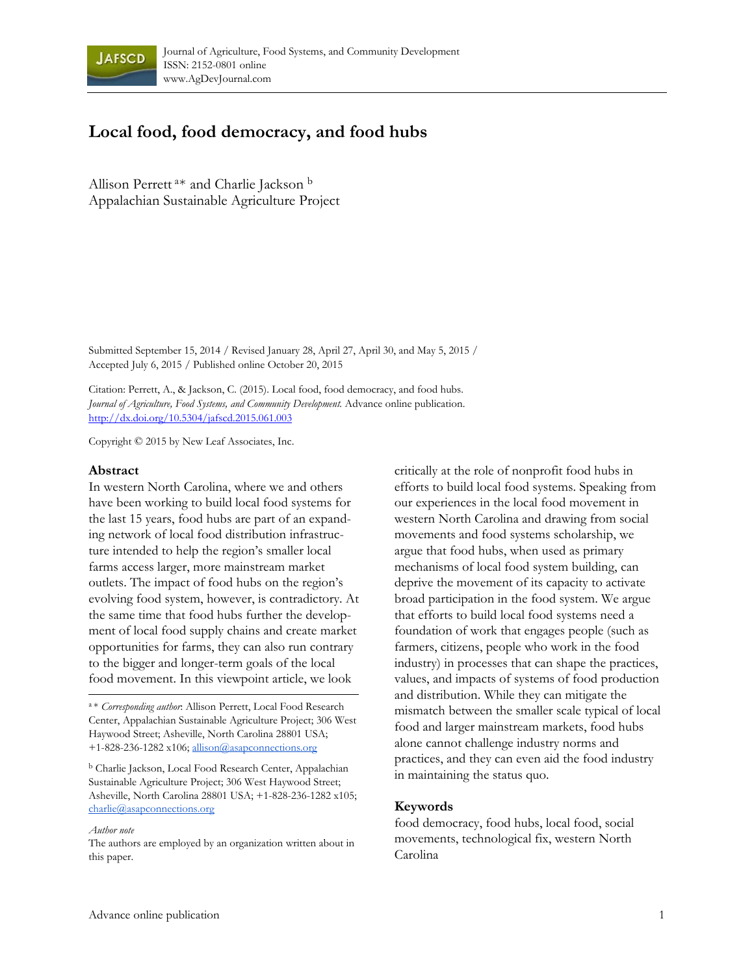

# **Local food, food democracy, and food hubs**

Allison Perrett a\* and Charlie Jackson b Appalachian Sustainable Agriculture Project

Submitted September 15, 2014 / Revised January 28, April 27, April 30, and May 5, 2015 / Accepted July 6, 2015 / Published online October 20, 2015

Citation: Perrett, A., & Jackson, C. (2015). Local food, food democracy, and food hubs. *Journal of Agriculture, Food Systems, and Community Development.* Advance online publication. http://dx.doi.org/10.5304/jafscd.2015.061.003

Copyright © 2015 by New Leaf Associates, Inc.

#### **Abstract**

In western North Carolina, where we and others have been working to build local food systems for the last 15 years, food hubs are part of an expanding network of local food distribution infrastructure intended to help the region's smaller local farms access larger, more mainstream market outlets. The impact of food hubs on the region's evolving food system, however, is contradictory. At the same time that food hubs further the development of local food supply chains and create market opportunities for farms, they can also run contrary to the bigger and longer-term goals of the local food movement. In this viewpoint article, we look

*Author note*

The authors are employed by an organization written about in this paper.

critically at the role of nonprofit food hubs in efforts to build local food systems. Speaking from our experiences in the local food movement in western North Carolina and drawing from social movements and food systems scholarship, we argue that food hubs, when used as primary mechanisms of local food system building, can deprive the movement of its capacity to activate broad participation in the food system. We argue that efforts to build local food systems need a foundation of work that engages people (such as farmers, citizens, people who work in the food industry) in processes that can shape the practices, values, and impacts of systems of food production and distribution. While they can mitigate the mismatch between the smaller scale typical of local food and larger mainstream markets, food hubs alone cannot challenge industry norms and practices, and they can even aid the food industry in maintaining the status quo.

#### **Keywords**

food democracy, food hubs, local food, social movements, technological fix, western North Carolina

<sup>a</sup> \* *Corresponding author*: Allison Perrett, Local Food Research Center, Appalachian Sustainable Agriculture Project; 306 West Haywood Street; Asheville, North Carolina 28801 USA; +1-828-236-1282 x106; allison@asapconnections.org

b Charlie Jackson, Local Food Research Center, Appalachian Sustainable Agriculture Project; 306 West Haywood Street; Asheville, North Carolina 28801 USA; +1-828-236-1282 x105; charlie@asapconnections.org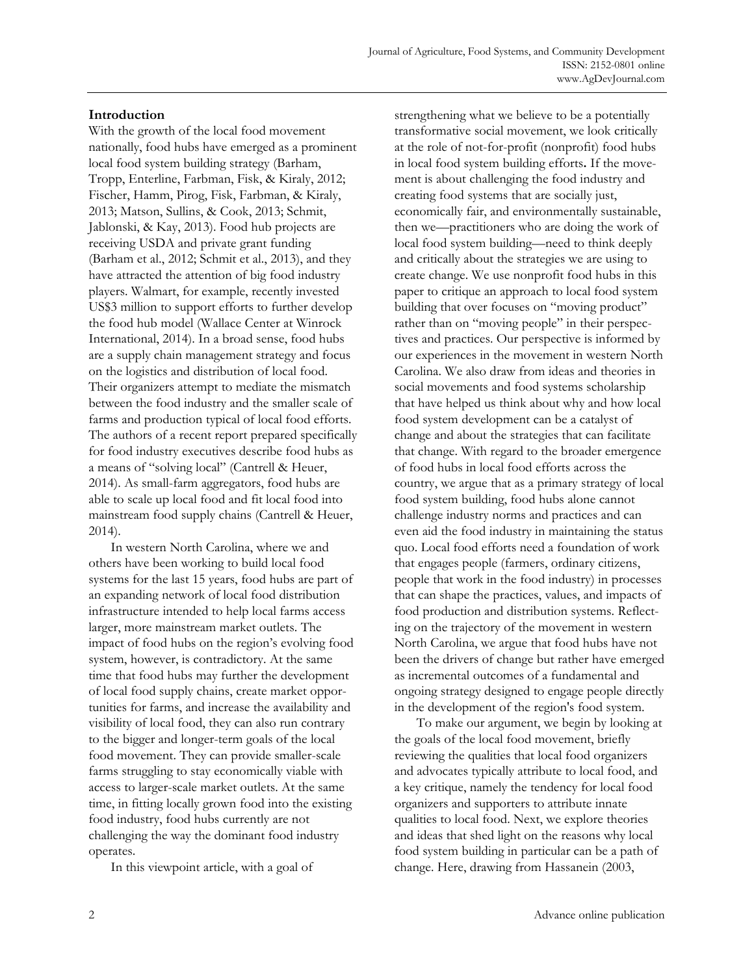### **Introduction**

With the growth of the local food movement nationally, food hubs have emerged as a prominent local food system building strategy (Barham, Tropp, Enterline, Farbman, Fisk, & Kiraly, 2012; Fischer, Hamm, Pirog, Fisk, Farbman, & Kiraly, 2013; Matson, Sullins, & Cook, 2013; Schmit, Jablonski, & Kay, 2013). Food hub projects are receiving USDA and private grant funding (Barham et al., 2012; Schmit et al., 2013), and they have attracted the attention of big food industry players. Walmart, for example, recently invested US\$3 million to support efforts to further develop the food hub model (Wallace Center at Winrock International, 2014). In a broad sense, food hubs are a supply chain management strategy and focus on the logistics and distribution of local food. Their organizers attempt to mediate the mismatch between the food industry and the smaller scale of farms and production typical of local food efforts. The authors of a recent report prepared specifically for food industry executives describe food hubs as a means of "solving local" (Cantrell & Heuer, 2014). As small-farm aggregators, food hubs are able to scale up local food and fit local food into mainstream food supply chains (Cantrell & Heuer, 2014).

 In western North Carolina, where we and others have been working to build local food systems for the last 15 years, food hubs are part of an expanding network of local food distribution infrastructure intended to help local farms access larger, more mainstream market outlets. The impact of food hubs on the region's evolving food system, however, is contradictory. At the same time that food hubs may further the development of local food supply chains, create market opportunities for farms, and increase the availability and visibility of local food, they can also run contrary to the bigger and longer-term goals of the local food movement. They can provide smaller-scale farms struggling to stay economically viable with access to larger-scale market outlets. At the same time, in fitting locally grown food into the existing food industry, food hubs currently are not challenging the way the dominant food industry operates.

In this viewpoint article, with a goal of

strengthening what we believe to be a potentially transformative social movement, we look critically at the role of not-for-profit (nonprofit) food hubs in local food system building efforts**.** If the movement is about challenging the food industry and creating food systems that are socially just, economically fair, and environmentally sustainable, then we—practitioners who are doing the work of local food system building—need to think deeply and critically about the strategies we are using to create change. We use nonprofit food hubs in this paper to critique an approach to local food system building that over focuses on "moving product" rather than on "moving people" in their perspectives and practices. Our perspective is informed by our experiences in the movement in western North Carolina. We also draw from ideas and theories in social movements and food systems scholarship that have helped us think about why and how local food system development can be a catalyst of change and about the strategies that can facilitate that change. With regard to the broader emergence of food hubs in local food efforts across the country, we argue that as a primary strategy of local food system building, food hubs alone cannot challenge industry norms and practices and can even aid the food industry in maintaining the status quo. Local food efforts need a foundation of work that engages people (farmers, ordinary citizens, people that work in the food industry) in processes that can shape the practices, values, and impacts of food production and distribution systems. Reflecting on the trajectory of the movement in western North Carolina, we argue that food hubs have not been the drivers of change but rather have emerged as incremental outcomes of a fundamental and ongoing strategy designed to engage people directly in the development of the region's food system.

 To make our argument, we begin by looking at the goals of the local food movement, briefly reviewing the qualities that local food organizers and advocates typically attribute to local food, and a key critique, namely the tendency for local food organizers and supporters to attribute innate qualities to local food. Next, we explore theories and ideas that shed light on the reasons why local food system building in particular can be a path of change. Here, drawing from Hassanein (2003,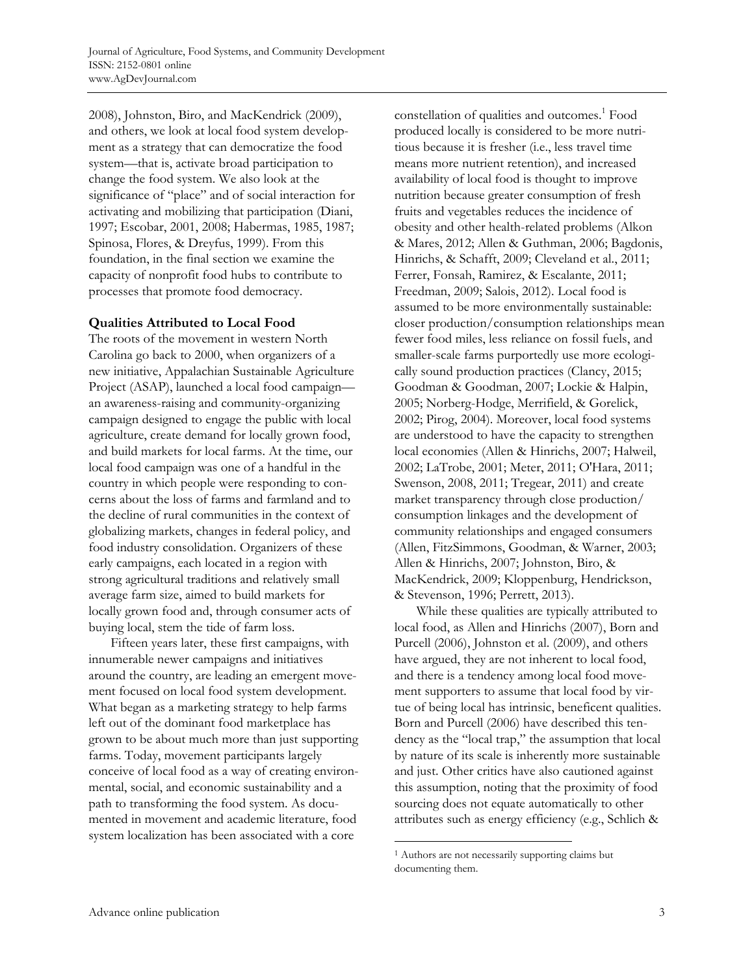2008), Johnston, Biro, and MacKendrick (2009), and others, we look at local food system development as a strategy that can democratize the food system—that is, activate broad participation to change the food system. We also look at the significance of "place" and of social interaction for activating and mobilizing that participation (Diani, 1997; Escobar, 2001, 2008; Habermas, 1985, 1987; Spinosa, Flores, & Dreyfus, 1999). From this foundation, in the final section we examine the capacity of nonprofit food hubs to contribute to processes that promote food democracy.

### **Qualities Attributed to Local Food**

The roots of the movement in western North Carolina go back to 2000, when organizers of a new initiative, Appalachian Sustainable Agriculture Project (ASAP), launched a local food campaign an awareness-raising and community-organizing campaign designed to engage the public with local agriculture, create demand for locally grown food, and build markets for local farms. At the time, our local food campaign was one of a handful in the country in which people were responding to concerns about the loss of farms and farmland and to the decline of rural communities in the context of globalizing markets, changes in federal policy, and food industry consolidation. Organizers of these early campaigns, each located in a region with strong agricultural traditions and relatively small average farm size, aimed to build markets for locally grown food and, through consumer acts of buying local, stem the tide of farm loss.

 Fifteen years later, these first campaigns, with innumerable newer campaigns and initiatives around the country, are leading an emergent movement focused on local food system development. What began as a marketing strategy to help farms left out of the dominant food marketplace has grown to be about much more than just supporting farms. Today, movement participants largely conceive of local food as a way of creating environmental, social, and economic sustainability and a path to transforming the food system. As documented in movement and academic literature, food system localization has been associated with a core

constellation of qualities and outcomes.<sup>1</sup> Food produced locally is considered to be more nutritious because it is fresher (i.e., less travel time means more nutrient retention), and increased availability of local food is thought to improve nutrition because greater consumption of fresh fruits and vegetables reduces the incidence of obesity and other health-related problems (Alkon & Mares, 2012; Allen & Guthman, 2006; Bagdonis, Hinrichs, & Schafft, 2009; Cleveland et al., 2011; Ferrer, Fonsah, Ramirez, & Escalante, 2011; Freedman, 2009; Salois, 2012). Local food is assumed to be more environmentally sustainable: closer production/consumption relationships mean fewer food miles, less reliance on fossil fuels, and smaller-scale farms purportedly use more ecologically sound production practices (Clancy, 2015; Goodman & Goodman, 2007; Lockie & Halpin, 2005; Norberg-Hodge, Merrifield, & Gorelick, 2002; Pirog, 2004). Moreover, local food systems are understood to have the capacity to strengthen local economies (Allen & Hinrichs, 2007; Halweil, 2002; LaTrobe, 2001; Meter, 2011; O'Hara, 2011; Swenson, 2008, 2011; Tregear, 2011) and create market transparency through close production/ consumption linkages and the development of community relationships and engaged consumers (Allen, FitzSimmons, Goodman, & Warner, 2003; Allen & Hinrichs, 2007; Johnston, Biro, & MacKendrick, 2009; Kloppenburg, Hendrickson, & Stevenson, 1996; Perrett, 2013).

 While these qualities are typically attributed to local food, as Allen and Hinrichs (2007), Born and Purcell (2006), Johnston et al. (2009), and others have argued, they are not inherent to local food, and there is a tendency among local food movement supporters to assume that local food by virtue of being local has intrinsic, beneficent qualities. Born and Purcell (2006) have described this tendency as the "local trap," the assumption that local by nature of its scale is inherently more sustainable and just. Other critics have also cautioned against this assumption, noting that the proximity of food sourcing does not equate automatically to other attributes such as energy efficiency (e.g., Schlich &

<sup>1</sup> Authors are not necessarily supporting claims but documenting them.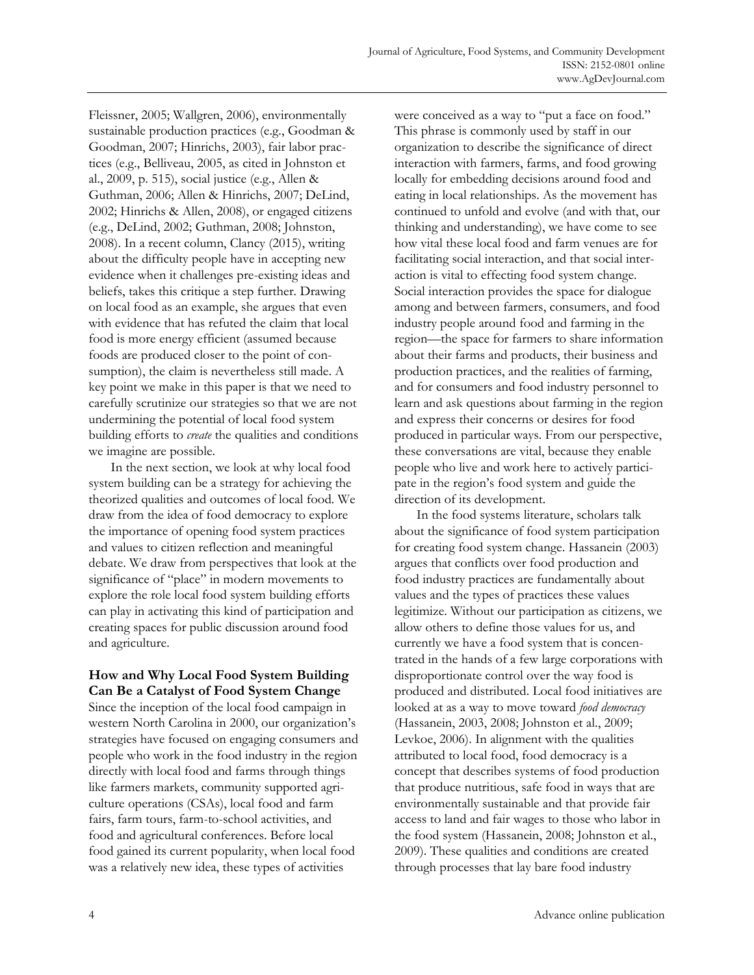Fleissner, 2005; Wallgren, 2006), environmentally sustainable production practices (e.g., Goodman & Goodman, 2007; Hinrichs, 2003), fair labor practices (e.g., Belliveau, 2005, as cited in Johnston et al., 2009, p. 515), social justice (e.g., Allen & Guthman, 2006; Allen & Hinrichs, 2007; DeLind, 2002; Hinrichs & Allen, 2008), or engaged citizens (e.g., DeLind, 2002; Guthman, 2008; Johnston, 2008). In a recent column, Clancy (2015), writing about the difficulty people have in accepting new evidence when it challenges pre-existing ideas and beliefs, takes this critique a step further. Drawing on local food as an example, she argues that even with evidence that has refuted the claim that local food is more energy efficient (assumed because foods are produced closer to the point of consumption), the claim is nevertheless still made. A key point we make in this paper is that we need to carefully scrutinize our strategies so that we are not undermining the potential of local food system building efforts to *create* the qualities and conditions we imagine are possible.

 In the next section, we look at why local food system building can be a strategy for achieving the theorized qualities and outcomes of local food. We draw from the idea of food democracy to explore the importance of opening food system practices and values to citizen reflection and meaningful debate. We draw from perspectives that look at the significance of "place" in modern movements to explore the role local food system building efforts can play in activating this kind of participation and creating spaces for public discussion around food and agriculture.

## **How and Why Local Food System Building Can Be a Catalyst of Food System Change**

Since the inception of the local food campaign in western North Carolina in 2000, our organization's strategies have focused on engaging consumers and people who work in the food industry in the region directly with local food and farms through things like farmers markets, community supported agriculture operations (CSAs), local food and farm fairs, farm tours, farm-to-school activities, and food and agricultural conferences. Before local food gained its current popularity, when local food was a relatively new idea, these types of activities

were conceived as a way to "put a face on food." This phrase is commonly used by staff in our organization to describe the significance of direct interaction with farmers, farms, and food growing locally for embedding decisions around food and eating in local relationships. As the movement has continued to unfold and evolve (and with that, our thinking and understanding), we have come to see how vital these local food and farm venues are for facilitating social interaction, and that social interaction is vital to effecting food system change. Social interaction provides the space for dialogue among and between farmers, consumers, and food industry people around food and farming in the region—the space for farmers to share information about their farms and products, their business and production practices, and the realities of farming, and for consumers and food industry personnel to learn and ask questions about farming in the region and express their concerns or desires for food produced in particular ways. From our perspective, these conversations are vital, because they enable people who live and work here to actively participate in the region's food system and guide the direction of its development.

 In the food systems literature, scholars talk about the significance of food system participation for creating food system change. Hassanein (2003) argues that conflicts over food production and food industry practices are fundamentally about values and the types of practices these values legitimize. Without our participation as citizens, we allow others to define those values for us, and currently we have a food system that is concentrated in the hands of a few large corporations with disproportionate control over the way food is produced and distributed. Local food initiatives are looked at as a way to move toward *food democracy* (Hassanein, 2003, 2008; Johnston et al., 2009; Levkoe, 2006). In alignment with the qualities attributed to local food, food democracy is a concept that describes systems of food production that produce nutritious, safe food in ways that are environmentally sustainable and that provide fair access to land and fair wages to those who labor in the food system (Hassanein, 2008; Johnston et al., 2009). These qualities and conditions are created through processes that lay bare food industry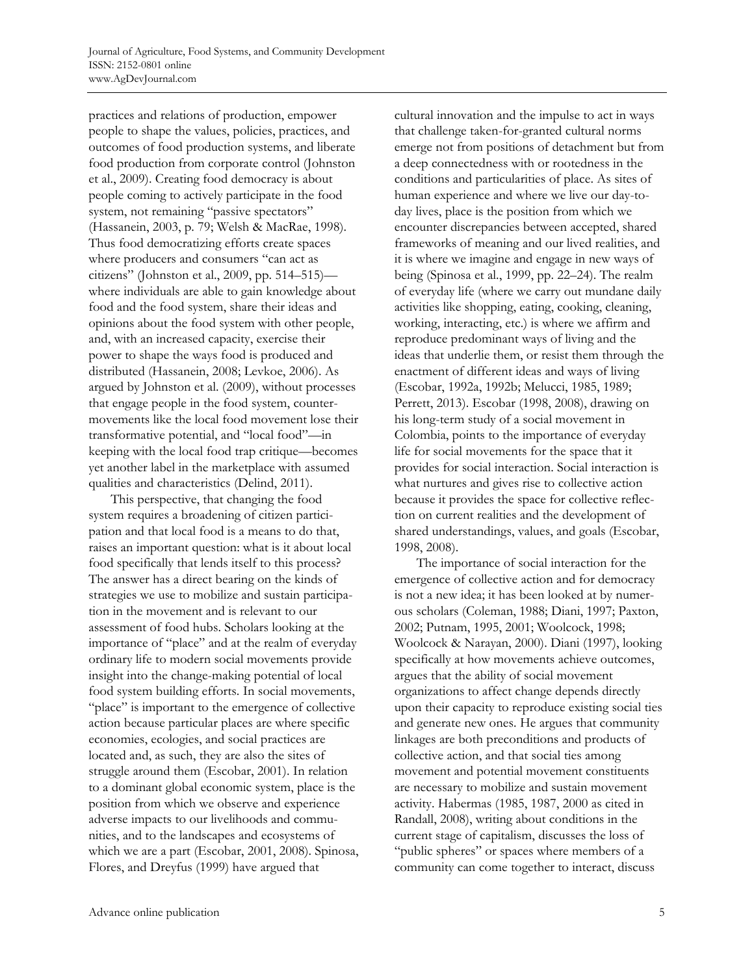practices and relations of production, empower people to shape the values, policies, practices, and outcomes of food production systems, and liberate food production from corporate control (Johnston et al., 2009). Creating food democracy is about people coming to actively participate in the food system, not remaining "passive spectators" (Hassanein, 2003, p. 79; Welsh & MacRae, 1998). Thus food democratizing efforts create spaces where producers and consumers "can act as citizens" (Johnston et al., 2009, pp. 514–515) where individuals are able to gain knowledge about food and the food system, share their ideas and opinions about the food system with other people, and, with an increased capacity, exercise their power to shape the ways food is produced and distributed (Hassanein, 2008; Levkoe, 2006). As argued by Johnston et al. (2009), without processes that engage people in the food system, countermovements like the local food movement lose their transformative potential, and "local food"—in keeping with the local food trap critique—becomes yet another label in the marketplace with assumed qualities and characteristics (Delind, 2011).

 This perspective, that changing the food system requires a broadening of citizen participation and that local food is a means to do that, raises an important question: what is it about local food specifically that lends itself to this process? The answer has a direct bearing on the kinds of strategies we use to mobilize and sustain participation in the movement and is relevant to our assessment of food hubs. Scholars looking at the importance of "place" and at the realm of everyday ordinary life to modern social movements provide insight into the change-making potential of local food system building efforts. In social movements, "place" is important to the emergence of collective action because particular places are where specific economies, ecologies, and social practices are located and, as such, they are also the sites of struggle around them (Escobar, 2001). In relation to a dominant global economic system, place is the position from which we observe and experience adverse impacts to our livelihoods and communities, and to the landscapes and ecosystems of which we are a part (Escobar, 2001, 2008). Spinosa, Flores, and Dreyfus (1999) have argued that

cultural innovation and the impulse to act in ways that challenge taken-for-granted cultural norms emerge not from positions of detachment but from a deep connectedness with or rootedness in the conditions and particularities of place. As sites of human experience and where we live our day-today lives, place is the position from which we encounter discrepancies between accepted, shared frameworks of meaning and our lived realities, and it is where we imagine and engage in new ways of being (Spinosa et al., 1999, pp. 22–24). The realm of everyday life (where we carry out mundane daily activities like shopping, eating, cooking, cleaning, working, interacting, etc.) is where we affirm and reproduce predominant ways of living and the ideas that underlie them, or resist them through the enactment of different ideas and ways of living (Escobar, 1992a, 1992b; Melucci, 1985, 1989; Perrett, 2013). Escobar (1998, 2008), drawing on his long-term study of a social movement in Colombia, points to the importance of everyday life for social movements for the space that it provides for social interaction. Social interaction is what nurtures and gives rise to collective action because it provides the space for collective reflection on current realities and the development of shared understandings, values, and goals (Escobar, 1998, 2008).

 The importance of social interaction for the emergence of collective action and for democracy is not a new idea; it has been looked at by numerous scholars (Coleman, 1988; Diani, 1997; Paxton, 2002; Putnam, 1995, 2001; Woolcock, 1998; Woolcock & Narayan, 2000). Diani (1997), looking specifically at how movements achieve outcomes, argues that the ability of social movement organizations to affect change depends directly upon their capacity to reproduce existing social ties and generate new ones. He argues that community linkages are both preconditions and products of collective action, and that social ties among movement and potential movement constituents are necessary to mobilize and sustain movement activity. Habermas (1985, 1987, 2000 as cited in Randall, 2008), writing about conditions in the current stage of capitalism, discusses the loss of "public spheres" or spaces where members of a community can come together to interact, discuss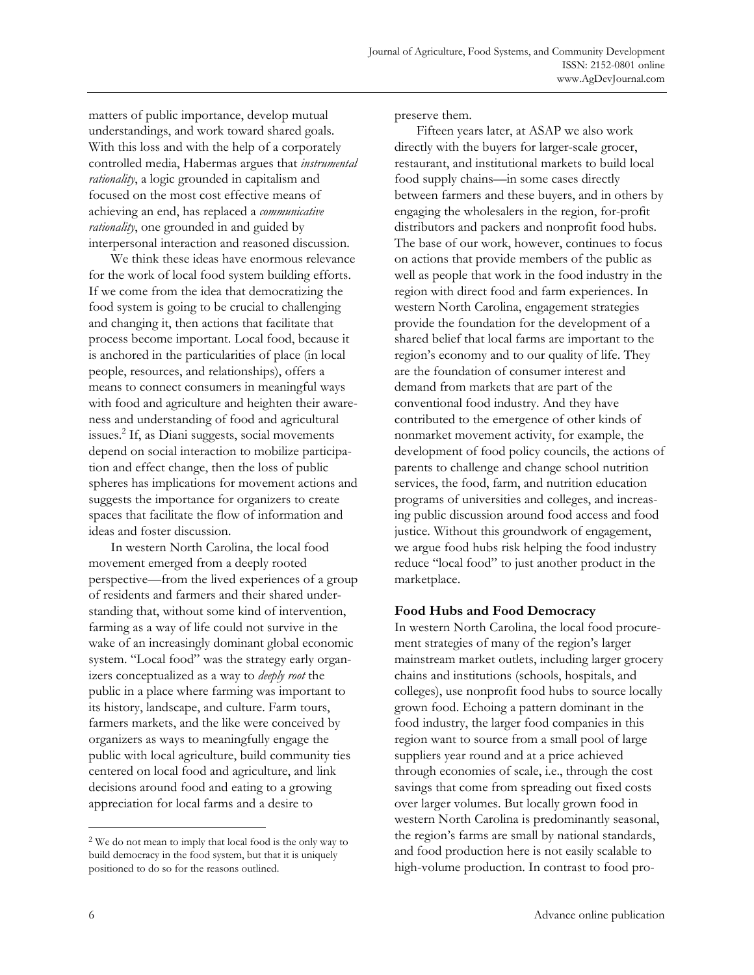matters of public importance, develop mutual understandings, and work toward shared goals. With this loss and with the help of a corporately controlled media, Habermas argues that *instrumental rationality*, a logic grounded in capitalism and focused on the most cost effective means of achieving an end, has replaced a *communicative rationality*, one grounded in and guided by interpersonal interaction and reasoned discussion.

 We think these ideas have enormous relevance for the work of local food system building efforts. If we come from the idea that democratizing the food system is going to be crucial to challenging and changing it, then actions that facilitate that process become important. Local food, because it is anchored in the particularities of place (in local people, resources, and relationships), offers a means to connect consumers in meaningful ways with food and agriculture and heighten their awareness and understanding of food and agricultural issues.2 If, as Diani suggests, social movements depend on social interaction to mobilize participation and effect change, then the loss of public spheres has implications for movement actions and suggests the importance for organizers to create spaces that facilitate the flow of information and ideas and foster discussion.

 In western North Carolina, the local food movement emerged from a deeply rooted perspective—from the lived experiences of a group of residents and farmers and their shared understanding that, without some kind of intervention, farming as a way of life could not survive in the wake of an increasingly dominant global economic system. "Local food" was the strategy early organizers conceptualized as a way to *deeply root* the public in a place where farming was important to its history, landscape, and culture. Farm tours, farmers markets, and the like were conceived by organizers as ways to meaningfully engage the public with local agriculture, build community ties centered on local food and agriculture, and link decisions around food and eating to a growing appreciation for local farms and a desire to

preserve them.

 Fifteen years later, at ASAP we also work directly with the buyers for larger-scale grocer, restaurant, and institutional markets to build local food supply chains—in some cases directly between farmers and these buyers, and in others by engaging the wholesalers in the region, for-profit distributors and packers and nonprofit food hubs. The base of our work, however, continues to focus on actions that provide members of the public as well as people that work in the food industry in the region with direct food and farm experiences. In western North Carolina, engagement strategies provide the foundation for the development of a shared belief that local farms are important to the region's economy and to our quality of life. They are the foundation of consumer interest and demand from markets that are part of the conventional food industry. And they have contributed to the emergence of other kinds of nonmarket movement activity, for example, the development of food policy councils, the actions of parents to challenge and change school nutrition services, the food, farm, and nutrition education programs of universities and colleges, and increasing public discussion around food access and food justice. Without this groundwork of engagement, we argue food hubs risk helping the food industry reduce "local food" to just another product in the marketplace.

#### **Food Hubs and Food Democracy**

In western North Carolina, the local food procurement strategies of many of the region's larger mainstream market outlets, including larger grocery chains and institutions (schools, hospitals, and colleges), use nonprofit food hubs to source locally grown food. Echoing a pattern dominant in the food industry, the larger food companies in this region want to source from a small pool of large suppliers year round and at a price achieved through economies of scale, i.e., through the cost savings that come from spreading out fixed costs over larger volumes. But locally grown food in western North Carolina is predominantly seasonal, the region's farms are small by national standards, and food production here is not easily scalable to high-volume production. In contrast to food pro-

 $\overline{a}$ 

<sup>2</sup> We do not mean to imply that local food is the only way to build democracy in the food system, but that it is uniquely positioned to do so for the reasons outlined.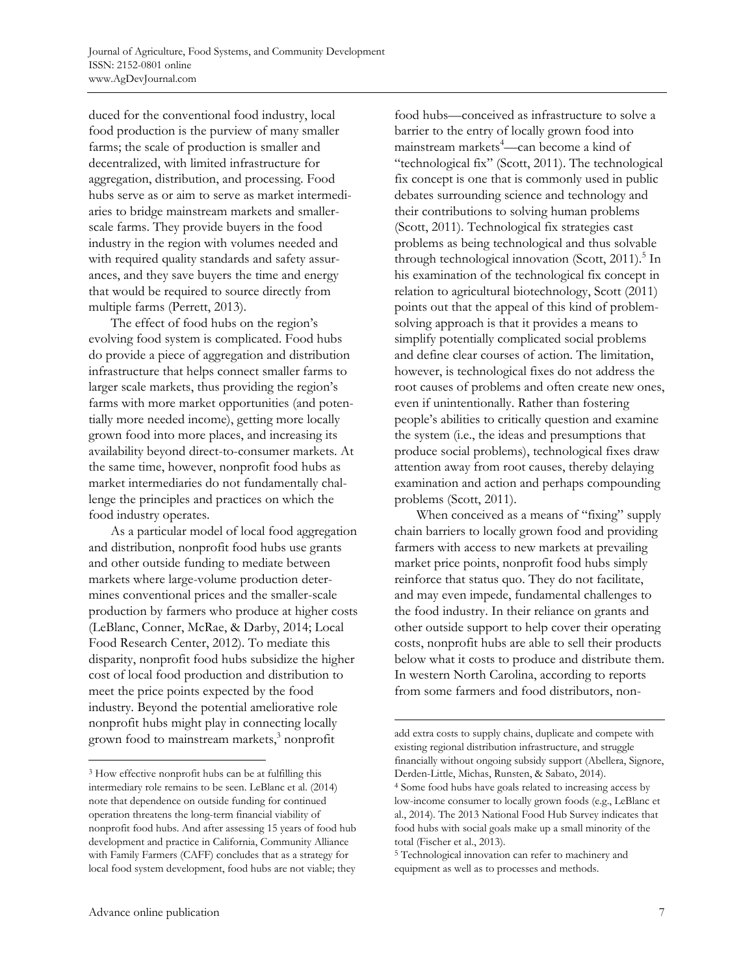duced for the conventional food industry, local food production is the purview of many smaller farms; the scale of production is smaller and decentralized, with limited infrastructure for aggregation, distribution, and processing. Food hubs serve as or aim to serve as market intermediaries to bridge mainstream markets and smallerscale farms. They provide buyers in the food industry in the region with volumes needed and with required quality standards and safety assurances, and they save buyers the time and energy that would be required to source directly from multiple farms (Perrett, 2013).

 The effect of food hubs on the region's evolving food system is complicated. Food hubs do provide a piece of aggregation and distribution infrastructure that helps connect smaller farms to larger scale markets, thus providing the region's farms with more market opportunities (and potentially more needed income), getting more locally grown food into more places, and increasing its availability beyond direct-to-consumer markets. At the same time, however, nonprofit food hubs as market intermediaries do not fundamentally challenge the principles and practices on which the food industry operates.

 As a particular model of local food aggregation and distribution, nonprofit food hubs use grants and other outside funding to mediate between markets where large-volume production determines conventional prices and the smaller-scale production by farmers who produce at higher costs (LeBlanc, Conner, McRae, & Darby, 2014; Local Food Research Center, 2012). To mediate this disparity, nonprofit food hubs subsidize the higher cost of local food production and distribution to meet the price points expected by the food industry. Beyond the potential ameliorative role nonprofit hubs might play in connecting locally grown food to mainstream markets,<sup>3</sup> nonprofit

food hubs—conceived as infrastructure to solve a barrier to the entry of locally grown food into mainstream markets<sup>4</sup>—can become a kind of "technological fix" (Scott, 2011). The technological fix concept is one that is commonly used in public debates surrounding science and technology and their contributions to solving human problems (Scott, 2011). Technological fix strategies cast problems as being technological and thus solvable through technological innovation (Scott, 2011).<sup>5</sup> In his examination of the technological fix concept in relation to agricultural biotechnology, Scott (2011) points out that the appeal of this kind of problemsolving approach is that it provides a means to simplify potentially complicated social problems and define clear courses of action. The limitation, however, is technological fixes do not address the root causes of problems and often create new ones, even if unintentionally. Rather than fostering people's abilities to critically question and examine the system (i.e., the ideas and presumptions that produce social problems), technological fixes draw attention away from root causes, thereby delaying examination and action and perhaps compounding problems (Scott, 2011).

When conceived as a means of "fixing" supply chain barriers to locally grown food and providing farmers with access to new markets at prevailing market price points, nonprofit food hubs simply reinforce that status quo. They do not facilitate, and may even impede, fundamental challenges to the food industry. In their reliance on grants and other outside support to help cover their operating costs, nonprofit hubs are able to sell their products below what it costs to produce and distribute them. In western North Carolina, according to reports from some farmers and food distributors, non-

<sup>3</sup> How effective nonprofit hubs can be at fulfilling this intermediary role remains to be seen. LeBlanc et al. (2014) note that dependence on outside funding for continued operation threatens the long-term financial viability of nonprofit food hubs. And after assessing 15 years of food hub development and practice in California, Community Alliance with Family Farmers (CAFF) concludes that as a strategy for local food system development, food hubs are not viable; they

add extra costs to supply chains, duplicate and compete with existing regional distribution infrastructure, and struggle financially without ongoing subsidy support (Abellera, Signore, Derden-Little, Michas, Runsten, & Sabato, 2014).

<sup>4</sup> Some food hubs have goals related to increasing access by low-income consumer to locally grown foods (e.g., LeBlanc et al., 2014). The 2013 National Food Hub Survey indicates that food hubs with social goals make up a small minority of the total (Fischer et al., 2013).

<sup>5</sup> Technological innovation can refer to machinery and equipment as well as to processes and methods.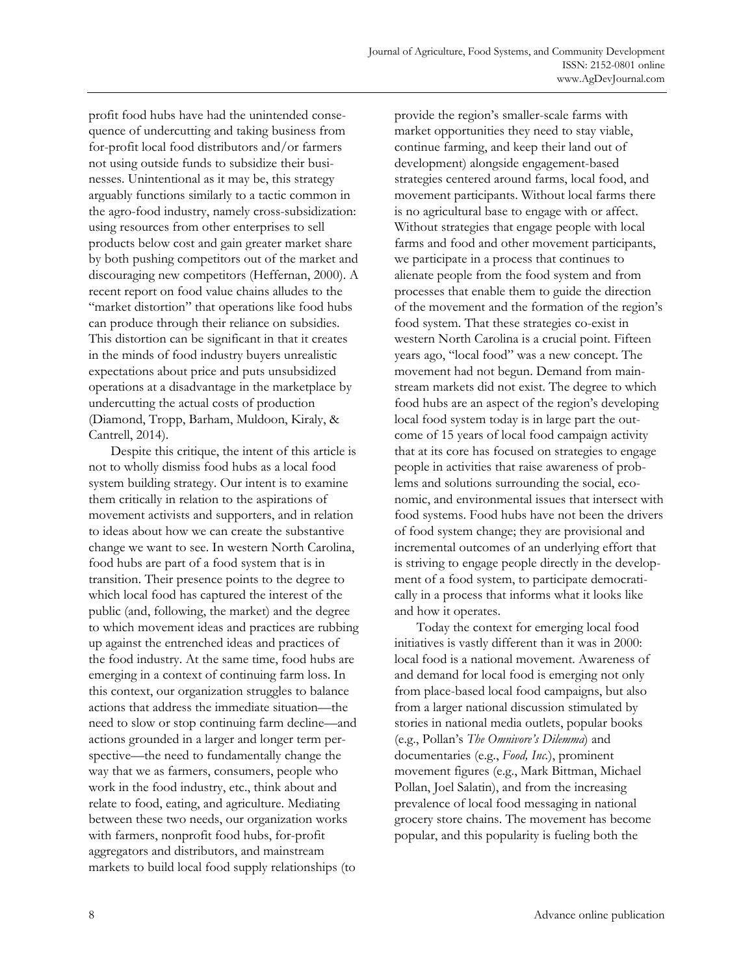profit food hubs have had the unintended consequence of undercutting and taking business from for-profit local food distributors and/or farmers not using outside funds to subsidize their businesses. Unintentional as it may be, this strategy arguably functions similarly to a tactic common in the agro-food industry, namely cross-subsidization: using resources from other enterprises to sell products below cost and gain greater market share by both pushing competitors out of the market and discouraging new competitors (Heffernan, 2000). A recent report on food value chains alludes to the "market distortion" that operations like food hubs can produce through their reliance on subsidies. This distortion can be significant in that it creates in the minds of food industry buyers unrealistic expectations about price and puts unsubsidized operations at a disadvantage in the marketplace by undercutting the actual costs of production (Diamond, Tropp, Barham, Muldoon, Kiraly, & Cantrell, 2014).

 Despite this critique, the intent of this article is not to wholly dismiss food hubs as a local food system building strategy. Our intent is to examine them critically in relation to the aspirations of movement activists and supporters, and in relation to ideas about how we can create the substantive change we want to see. In western North Carolina, food hubs are part of a food system that is in transition. Their presence points to the degree to which local food has captured the interest of the public (and, following, the market) and the degree to which movement ideas and practices are rubbing up against the entrenched ideas and practices of the food industry. At the same time, food hubs are emerging in a context of continuing farm loss. In this context, our organization struggles to balance actions that address the immediate situation—the need to slow or stop continuing farm decline—and actions grounded in a larger and longer term perspective—the need to fundamentally change the way that we as farmers, consumers, people who work in the food industry, etc., think about and relate to food, eating, and agriculture. Mediating between these two needs, our organization works with farmers, nonprofit food hubs, for-profit aggregators and distributors, and mainstream markets to build local food supply relationships (to

provide the region's smaller-scale farms with market opportunities they need to stay viable, continue farming, and keep their land out of development) alongside engagement-based strategies centered around farms, local food, and movement participants. Without local farms there is no agricultural base to engage with or affect. Without strategies that engage people with local farms and food and other movement participants, we participate in a process that continues to alienate people from the food system and from processes that enable them to guide the direction of the movement and the formation of the region's food system. That these strategies co-exist in western North Carolina is a crucial point. Fifteen years ago, "local food" was a new concept. The movement had not begun. Demand from mainstream markets did not exist. The degree to which food hubs are an aspect of the region's developing local food system today is in large part the outcome of 15 years of local food campaign activity that at its core has focused on strategies to engage people in activities that raise awareness of problems and solutions surrounding the social, economic, and environmental issues that intersect with food systems. Food hubs have not been the drivers of food system change; they are provisional and incremental outcomes of an underlying effort that is striving to engage people directly in the development of a food system, to participate democratically in a process that informs what it looks like and how it operates.

 Today the context for emerging local food initiatives is vastly different than it was in 2000: local food is a national movement. Awareness of and demand for local food is emerging not only from place-based local food campaigns, but also from a larger national discussion stimulated by stories in national media outlets, popular books (e.g., Pollan's *The Omnivore's Dilemma*) and documentaries (e.g., *Food, Inc.*), prominent movement figures (e.g., Mark Bittman, Michael Pollan, Joel Salatin), and from the increasing prevalence of local food messaging in national grocery store chains. The movement has become popular, and this popularity is fueling both the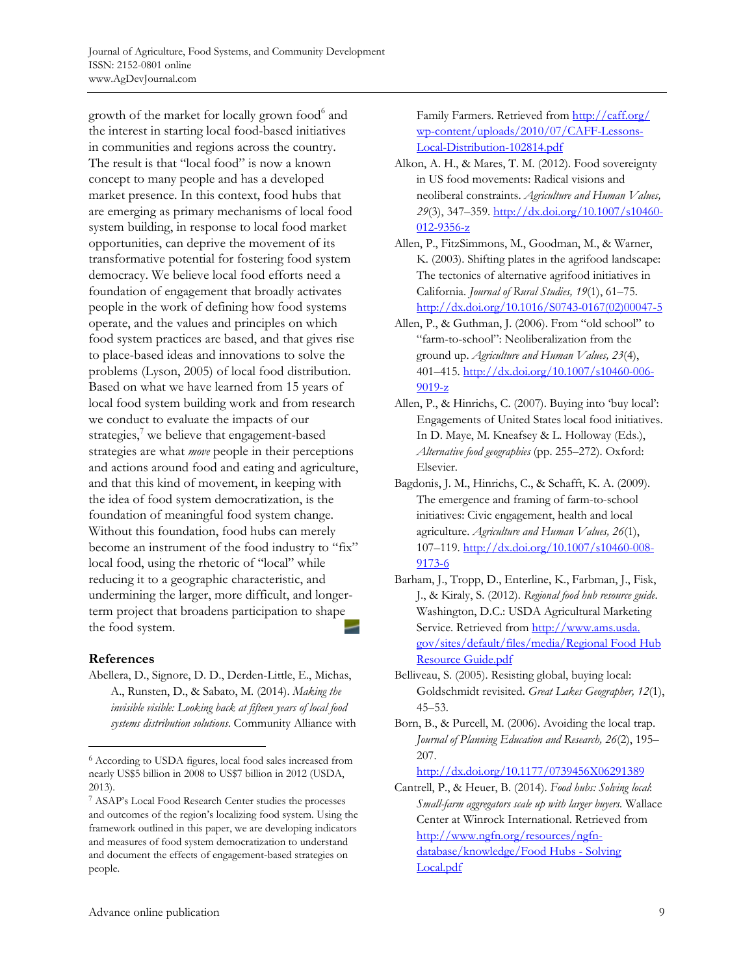growth of the market for locally grown food<sup>6</sup> and the interest in starting local food-based initiatives in communities and regions across the country. The result is that "local food" is now a known concept to many people and has a developed market presence. In this context, food hubs that are emerging as primary mechanisms of local food system building, in response to local food market opportunities, can deprive the movement of its transformative potential for fostering food system democracy. We believe local food efforts need a foundation of engagement that broadly activates people in the work of defining how food systems operate, and the values and principles on which food system practices are based, and that gives rise to place-based ideas and innovations to solve the problems (Lyson, 2005) of local food distribution. Based on what we have learned from 15 years of local food system building work and from research we conduct to evaluate the impacts of our strategies, $\frac{7}{7}$  we believe that engagement-based strategies are what *move* people in their perceptions and actions around food and eating and agriculture, and that this kind of movement, in keeping with the idea of food system democratization, is the foundation of meaningful food system change. Without this foundation, food hubs can merely become an instrument of the food industry to "fix" local food, using the rhetoric of "local" while reducing it to a geographic characteristic, and undermining the larger, more difficult, and longerterm project that broadens participation to shape the food system.

#### **References**

 $\overline{a}$ 

Abellera, D., Signore, D. D., Derden-Little, E., Michas, A., Runsten, D., & Sabato, M. (2014). *Making the invisible visible: Looking back at fifteen years of local food systems distribution solutions*. Community Alliance with [Family Farmers. Retrieved from http://caff.org/](http://caff.org/wp-content/uploads/2010/07/CAFF-Lessons-Local-Distribution-102814.pdf) wp-content/uploads/2010/07/CAFF-Lessons-Local-Distribution-102814.pdf

- Alkon, A. H., & Mares, T. M. (2012). Food sovereignty in US food movements: Radical visions and neoliberal constraints. *Agriculture and Human Values, 29*(3), 347–359. http://dx.doi.org/10.1007/s10460- 012-9356-z
- Allen, P., FitzSimmons, M., Goodman, M., & Warner, K. (2003). Shifting plates in the agrifood landscape: The tectonics of alternative agrifood initiatives in California. *Journal of Rural Studies, 19*(1), 61–75. [http://dx.doi.org/10.1016/S0743-0167\(02\)00047-5](http://dx.doi.org/10.1016/S0743-0167(02)00047-5)
- Allen, P., & Guthman, J. (2006). From "old school" to "farm-to-school": Neoliberalization from the ground up. *Agriculture and Human Values, 23*(4), 401–415. http://dx.doi.org/10.1007/s10460-006- 9019-z
- Allen, P., & Hinrichs, C. (2007). Buying into 'buy local': Engagements of United States local food initiatives. In D. Maye, M. Kneafsey & L. Holloway (Eds.), *Alternative food geographies* (pp. 255–272). Oxford: Elsevier.
- Bagdonis, J. M., Hinrichs, C., & Schafft, K. A. (2009). The emergence and framing of farm-to-school initiatives: Civic engagement, health and local agriculture. *Agriculture and Human Values, 26*(1), 107–119. http://dx.doi.org/10.1007/s10460-008- 9173-6
- Barham, J., Tropp, D., Enterline, K., Farbman, J., Fisk, J., & Kiraly, S. (2012). *Regional food hub resource guide*. Washington, D.C.: USDA Agricultural Marketing Service. Retrieved from http://www.ams.usda. [gov/sites/default/files/media/Regional Food Hub](http://www.ams.usda.gov/sites/default/files/media/Regional Food Hub Resource Guide.pdf)  Resource Guide.pdf
- Belliveau, S. (2005). Resisting global, buying local: Goldschmidt revisited. *Great Lakes Geographer, 12*(1), 45–53.
- Born, B., & Purcell, M. (2006). Avoiding the local trap. *Journal of Planning Education and Research, 26*(2), 195– 207.

http://dx.doi.org/10.1177/0739456X06291389

<sup>6</sup> According to USDA figures, local food sales increased from nearly US\$5 billion in 2008 to US\$7 billion in 2012 (USDA, 2013).

<sup>7</sup> ASAP's Local Food Research Center studies the processes and outcomes of the region's localizing food system. Using the framework outlined in this paper, we are developing indicators and measures of food system democratization to understand and document the effects of engagement-based strategies on people.

Cantrell, P., & Heuer, B. (2014). *Food hubs: Solving local*: *Small-farm aggregators scale up with larger buyers.* Wallace Center at Winrock International. Retrieved from http://www.ngfn.org/resources/ngfn[database/knowledge/Food Hubs - Solving](http://www.ngfn.org/resources/ngfn-database/knowledge/Food Hubs - Solving Local.pdf)  Local.pdf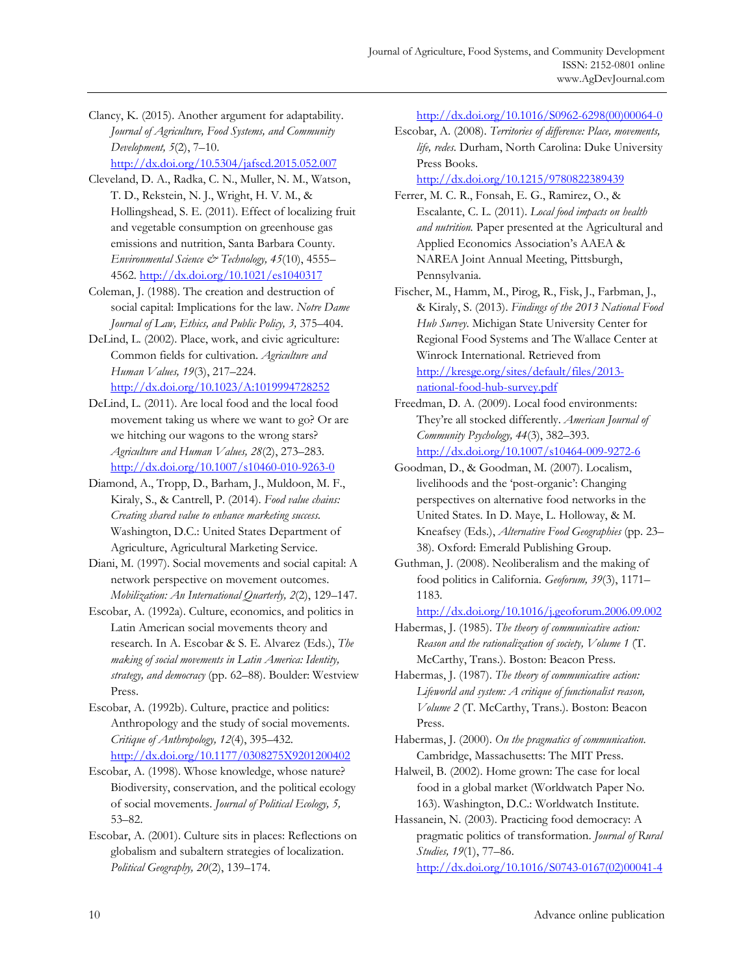Clancy, K. (2015). Another argument for adaptability. *Journal of Agriculture, Food Systems, and Community Development, 5*(2), 7–10. http://dx.doi.org/10.5304/jafscd.2015.052.007

Cleveland, D. A., Radka, C. N., Muller, N. M., Watson, T. D., Rekstein, N. J., Wright, H. V. M., & Hollingshead, S. E. (2011). Effect of localizing fruit and vegetable consumption on greenhouse gas emissions and nutrition, Santa Barbara County. *Environmental Science & Technology, 45*(10), 4555– 4562. http://dx.doi.org/10.1021/es1040317

Coleman, J. (1988). The creation and destruction of social capital: Implications for the law. *Notre Dame Journal of Law, Ethics, and Public Policy, 3,* 375–404.

DeLind, L. (2002). Place, work, and civic agriculture: Common fields for cultivation. *Agriculture and Human Values, 19*(3), 217–224. http://dx.doi.org/10.1023/A:1019994728252

DeLind, L. (2011). Are local food and the local food movement taking us where we want to go? Or are we hitching our wagons to the wrong stars? *Agriculture and Human Values, 28*(2), 273–283. http://dx.doi.org/10.1007/s10460-010-9263-0

Diamond, A., Tropp, D., Barham, J., Muldoon, M. F., Kiraly, S., & Cantrell, P. (2014). *Food value chains: Creating shared value to enhance marketing success*. Washington, D.C.: United States Department of Agriculture, Agricultural Marketing Service.

Diani, M. (1997). Social movements and social capital: A network perspective on movement outcomes. *Mobilization: An International Quarterly, 2*(2), 129–147.

Escobar, A. (1992a). Culture, economics, and politics in Latin American social movements theory and research. In A. Escobar & S. E. Alvarez (Eds.), *The making of social movements in Latin America: Identity, strategy, and democracy* (pp. 62–88). Boulder: Westview Press.

Escobar, A. (1992b). Culture, practice and politics: Anthropology and the study of social movements. *Critique of Anthropology, 12*(4), 395–432. http://dx.doi.org/10.1177/0308275X9201200402

Escobar, A. (1998). Whose knowledge, whose nature? Biodiversity, conservation, and the political ecology of social movements. *Journal of Political Ecology, 5,* 53–82.

Escobar, A. (2001). Culture sits in places: Reflections on globalism and subaltern strategies of localization. *Political Geography, 20*(2), 139–174.

[http://dx.doi.org/10.1016/S0962-6298\(00\)00064-0](http://dx.doi.org/10.1016/S0962-6298(00)00064-0)

Escobar, A. (2008). *Territories of difference: Place, movements, life, redes*. Durham, North Carolina: Duke University Press Books.

http://dx.doi.org/10.1215/9780822389439

Ferrer, M. C. R., Fonsah, E. G., Ramirez, O., & Escalante, C. L. (2011). *Local food impacts on health and nutrition.* Paper presented at the Agricultural and Applied Economics Association's AAEA & NAREA Joint Annual Meeting, Pittsburgh, Pennsylvania.

Fischer, M., Hamm, M., Pirog, R., Fisk, J., Farbman, J., & Kiraly, S. (2013). *Findings of the 2013 National Food Hub Survey*. Michigan State University Center for Regional Food Systems and The Wallace Center at Winrock International. Retrieved from http://kresge.org/sites/default/files/2013 national-food-hub-survey.pdf

Freedman, D. A. (2009). Local food environments: They're all stocked differently. *American Journal of Community Psychology, 44*(3), 382–393. http://dx.doi.org/10.1007/s10464-009-9272-6

Goodman, D., & Goodman, M. (2007). Localism, livelihoods and the 'post-organic': Changing perspectives on alternative food networks in the United States. In D. Maye, L. Holloway, & M. Kneafsey (Eds.), *Alternative Food Geographies* (pp. 23– 38). Oxford: Emerald Publishing Group.

Guthman, J. (2008). Neoliberalism and the making of food politics in California. *Geoforum, 39*(3), 1171– 1183.

http://dx.doi.org/10.1016/j.geoforum.2006.09.002

Habermas, J. (1985). *The theory of communicative action: Reason and the rationalization of society, Volume 1* (T. McCarthy, Trans.). Boston: Beacon Press.

Habermas, J. (1987). *The theory of communicative action: Lifeworld and system: A critique of functionalist reason, Volume 2* (T. McCarthy, Trans.). Boston: Beacon Press.

Habermas, J. (2000). *On the pragmatics of communication*. Cambridge, Massachusetts: The MIT Press.

Halweil, B. (2002). Home grown: The case for local food in a global market (Worldwatch Paper No. 163). Washington, D.C.: Worldwatch Institute.

Hassanein, N. (2003). Practicing food democracy: A pragmatic politics of transformation. *Journal of Rural Studies, 19*(1), 77–86. [http://dx.doi.org/10.1016/S0743-0167\(02\)00041-4](http://dx.doi.org/10.1016/S0743-0167(02)00041-4)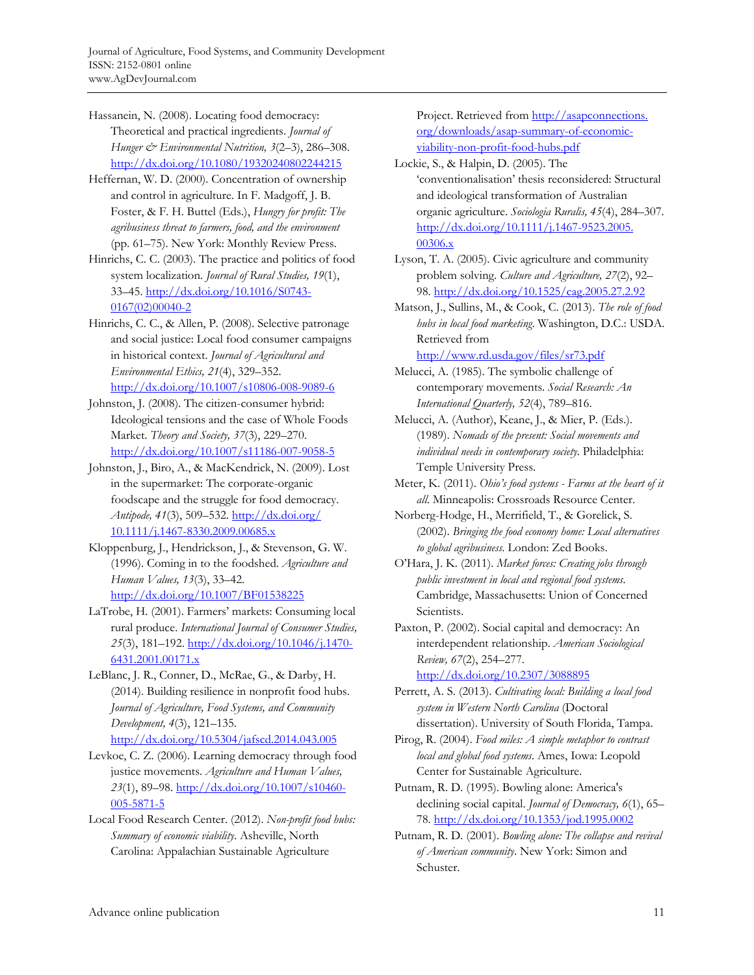Hassanein, N. (2008). Locating food democracy: Theoretical and practical ingredients. *Journal of Hunger & Environmental Nutrition, 3*(2–3), 286–308. http://dx.doi.org/10.1080/19320240802244215

Heffernan, W. D. (2000). Concentration of ownership and control in agriculture. In F. Madgoff, J. B. Foster, & F. H. Buttel (Eds.), *Hungry for profit: The agribusiness threat to farmers, food, and the environment* (pp. 61–75). New York: Monthly Review Press.

Hinrichs, C. C. (2003). The practice and politics of food system localization. *Journal of Rural Studies, 19*(1), [33–45. http://dx.doi.org/10.1016/S0743-](http://dx.doi.org/10.1016/S0743-0167(02)00040-2) 0167(02)00040-2

Hinrichs, C. C., & Allen, P. (2008). Selective patronage and social justice: Local food consumer campaigns in historical context. *Journal of Agricultural and Environmental Ethics, 21*(4), 329–352. http://dx.doi.org/10.1007/s10806-008-9089-6

Johnston, J. (2008). The citizen-consumer hybrid: Ideological tensions and the case of Whole Foods Market. *Theory and Society, 37*(3), 229–270. http://dx.doi.org/10.1007/s11186-007-9058-5

Johnston, J., Biro, A., & MacKendrick, N. (2009). Lost in the supermarket: The corporate-organic foodscape and the struggle for food democracy. *Antipode, 41*(3), 509–532. http://dx.doi.org/ [10.1111/j.1467-8330.2009.00685.x](http://dx.doi.org/10.1111/j.1467-8330.2009.00685.x)

Kloppenburg, J., Hendrickson, J., & Stevenson, G. W. (1996). Coming in to the foodshed. *Agriculture and Human Values, 13*(3), 33–42. http://dx.doi.org/10.1007/BF01538225

LaTrobe, H. (2001). Farmers' markets: Consuming local rural produce. *International Journal of Consumer Studies, 25*(3), 181–192. http://dx.doi.org/10.1046/j.1470- 6431.2001.00171.x

LeBlanc, J. R., Conner, D., McRae, G., & Darby, H. (2014). Building resilience in nonprofit food hubs. *Journal of Agriculture, Food Systems, and Community Development, 4*(3), 121–135. http://dx.doi.org/10.5304/jafscd.2014.043.005

Levkoe, C. Z. (2006). Learning democracy through food justice movements. *Agriculture and Human Values, 23*(1), 89–98. http://dx.doi.org/10.1007/s10460- 005-5871-5

Local Food Research Center. (2012). *Non-profit food hubs: Summary of economic viability*. Asheville, North Carolina: Appalachian Sustainable Agriculture

[Project. Retrieved from http://asapconnections.](http://asapconnections.org/downloads/asap-summary-of-economic-viability-non-profit-food-hubs.pdf) org/downloads/asap-summary-of-economicviability-non-profit-food-hubs.pdf

Lockie, S., & Halpin, D. (2005). The 'conventionalisation' thesis reconsidered: Structural and ideological transformation of Australian organic agriculture. *Sociologia Ruralis, 45*(4), 284–307. [http://dx.doi.org/10.1111/j.1467-9523.2005.](http://dx.doi.org/10.1111/j.1467-9523.2005.00306.x) 00306.x

Lyson, T. A. (2005). Civic agriculture and community problem solving. *Culture and Agriculture, 27*(2), 92– 98. http://dx.doi.org/10.1525/cag.2005.27.2.92

Matson, J., Sullins, M., & Cook, C. (2013). *The role of food hubs in local food marketing*. Washington, D.C.: USDA. Retrieved from

http://www.rd.usda.gov/files/sr73.pdf

Melucci, A. (1985). The symbolic challenge of contemporary movements. *Social Research: An International Quarterly, 52*(4), 789–816.

Melucci, A. (Author), Keane, J., & Mier, P. (Eds.). (1989). *Nomads of the present: Social movements and individual needs in contemporary society.* Philadelphia: Temple University Press.

Meter, K. (2011). *Ohio's food systems - Farms at the heart of it all*. Minneapolis: Crossroads Resource Center.

Norberg-Hodge, H., Merrifield, T., & Gorelick, S. (2002). *Bringing the food economy home: Local alternatives to global agribusiness*. London: Zed Books.

O'Hara, J. K. (2011). *Market forces: Creating jobs through public investment in local and regional food systems*. Cambridge, Massachusetts: Union of Concerned Scientists.

Paxton, P. (2002). Social capital and democracy: An interdependent relationship. *American Sociological Review, 67*(2), 254–277.

http://dx.doi.org/10.2307/3088895

Perrett, A. S. (2013). *Cultivating local: Building a local food system in Western North Carolina* (Doctoral dissertation). University of South Florida, Tampa.

Pirog, R. (2004). *Food miles: A simple metaphor to contrast local and global food systems*. Ames, Iowa: Leopold Center for Sustainable Agriculture.

Putnam, R. D. (1995). Bowling alone: America's declining social capital. *Journal of Democracy, 6*(1), 65– 78. http://dx.doi.org/10.1353/jod.1995.0002

Putnam, R. D. (2001). *Bowling alone: The collapse and revival of American community*. New York: Simon and Schuster.